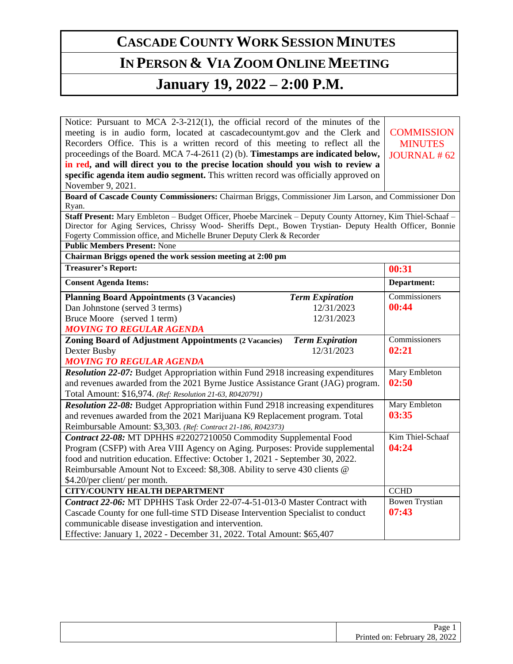## **CASCADE COUNTY WORK SESSION MINUTES**

## **IN PERSON & VIA ZOOM ONLINE MEETING**

## **January 19, 2022 – 2:00 P.M.**

Notice: Pursuant to MCA 2-3-212(1), the official record of the minutes of the meeting is in audio form, located at cascadecountymt.gov and the Clerk and Recorders Office. This is a written record of this meeting to reflect all the proceedings of the Board. MCA 7-4-2611 (2) (b). **Timestamps are indicated below, in red, and will direct you to the precise location should you wish to review a specific agenda item audio segment.** This written record was officially approved on November 9, 2021.

**Public Members Present:** None

**COMMISSION MINUTES** JOURNAL # 62

**Board of Cascade County Commissioners:** Chairman Briggs, Commissioner Jim Larson, and Commissioner Don Ryan.

**Staff Present:** Mary Embleton – Budget Officer, Phoebe Marcinek – Deputy County Attorney, Kim Thiel-Schaaf – Director for Aging Services, Chrissy Wood- Sheriffs Dept., Bowen Trystian- Deputy Health Officer, Bonnie Fogerty Commission office, and Michelle Bruner Deputy Clerk & Recorder

| Chairman Briggs opened the work session meeting at 2:00 pm                       |                        |                       |  |
|----------------------------------------------------------------------------------|------------------------|-----------------------|--|
| <b>Treasurer's Report:</b>                                                       |                        | 00:31                 |  |
| <b>Consent Agenda Items:</b>                                                     |                        | Department:           |  |
| <b>Planning Board Appointments (3 Vacancies)</b>                                 | <b>Term Expiration</b> | Commissioners         |  |
| Dan Johnstone (served 3 terms)                                                   | 12/31/2023             | 00:44                 |  |
| Bruce Moore (served 1 term)                                                      | 12/31/2023             |                       |  |
| <b>MOVING TO REGULAR AGENDA</b>                                                  |                        |                       |  |
| <b>Zoning Board of Adjustment Appointments (2 Vacancies)</b>                     | <b>Term Expiration</b> | Commissioners         |  |
| Dexter Busby                                                                     | 12/31/2023             | 02:21                 |  |
| <b>MOVING TO REGULAR AGENDA</b>                                                  |                        |                       |  |
| Resolution 22-07: Budget Appropriation within Fund 2918 increasing expenditures  |                        | Mary Embleton         |  |
| and revenues awarded from the 2021 Byrne Justice Assistance Grant (JAG) program. |                        | 02:50                 |  |
| Total Amount: \$16,974. (Ref: Resolution 21-63, R0420791)                        |                        |                       |  |
| Resolution 22-08: Budget Appropriation within Fund 2918 increasing expenditures  |                        | Mary Embleton         |  |
| and revenues awarded from the 2021 Marijuana K9 Replacement program. Total       |                        | 03:35                 |  |
| Reimbursable Amount: \$3,303. (Ref: Contract 21-186, R042373)                    |                        |                       |  |
| Contract 22-08: MT DPHHS #22027210050 Commodity Supplemental Food                |                        | Kim Thiel-Schaaf      |  |
| Program (CSFP) with Area VIII Agency on Aging. Purposes: Provide supplemental    |                        | 04:24                 |  |
| food and nutrition education. Effective: October 1, 2021 - September 30, 2022.   |                        |                       |  |
| Reimbursable Amount Not to Exceed: \$8,308. Ability to serve 430 clients @       |                        |                       |  |
| \$4.20/per client/ per month.                                                    |                        |                       |  |
| <b>CITY/COUNTY HEALTH DEPARTMENT</b>                                             |                        | <b>CCHD</b>           |  |
| Contract 22-06: MT DPHHS Task Order 22-07-4-51-013-0 Master Contract with        |                        | <b>Bowen Trystian</b> |  |
| Cascade County for one full-time STD Disease Intervention Specialist to conduct  |                        | 07:43                 |  |
| communicable disease investigation and intervention.                             |                        |                       |  |
| Effective: January 1, 2022 - December 31, 2022. Total Amount: \$65,407           |                        |                       |  |